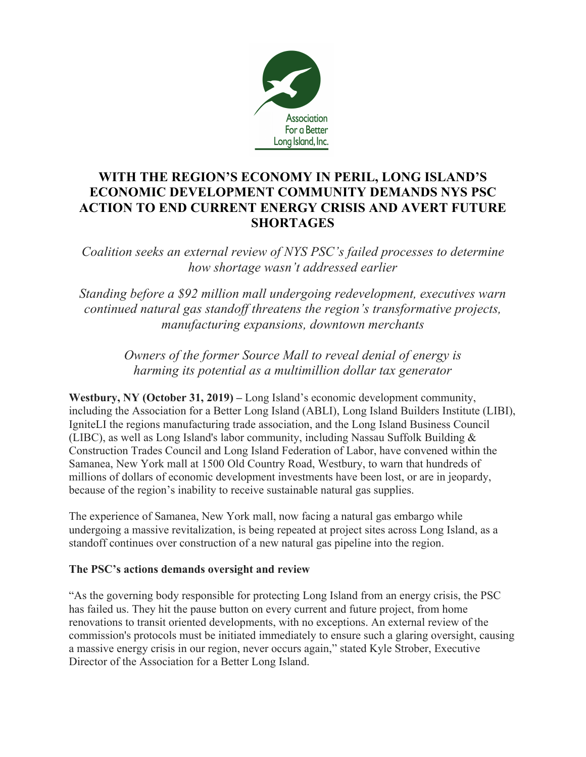

# **WITH THE REGION'S ECONOMY IN PERIL, LONG ISLAND'S ECONOMIC DEVELOPMENT COMMUNITY DEMANDS NYS PSC ACTION TO END CURRENT ENERGY CRISIS AND AVERT FUTURE SHORTAGES**

*Coalition seeks an external review of NYS PSC's failed processes to determine how shortage wasn't addressed earlier*

*Standing before a \$92 million mall undergoing redevelopment, executives warn continued natural gas standoff threatens the region's transformative projects, manufacturing expansions, downtown merchants*

> *Owners of the former Source Mall to reveal denial of energy is harming its potential as a multimillion dollar tax generator*

**Westbury, NY (October 31, 2019) –** Long Island's economic development community, including the Association for a Better Long Island (ABLI), Long Island Builders Institute (LIBI), IgniteLI the regions manufacturing trade association, and the Long Island Business Council (LIBC), as well as Long Island's labor community, including Nassau Suffolk Building & Construction Trades Council and Long Island Federation of Labor, have convened within the Samanea, New York mall at 1500 Old Country Road, Westbury, to warn that hundreds of millions of dollars of economic development investments have been lost, or are in jeopardy, because of the region's inability to receive sustainable natural gas supplies.

The experience of Samanea, New York mall, now facing a natural gas embargo while undergoing a massive revitalization, is being repeated at project sites across Long Island, as a standoff continues over construction of a new natural gas pipeline into the region.

#### **The PSC's actions demands oversight and review**

"As the governing body responsible for protecting Long Island from an energy crisis, the PSC has failed us. They hit the pause button on every current and future project, from home renovations to transit oriented developments, with no exceptions. An external review of the commission's protocols must be initiated immediately to ensure such a glaring oversight, causing a massive energy crisis in our region, never occurs again," stated Kyle Strober, Executive Director of the Association for a Better Long Island.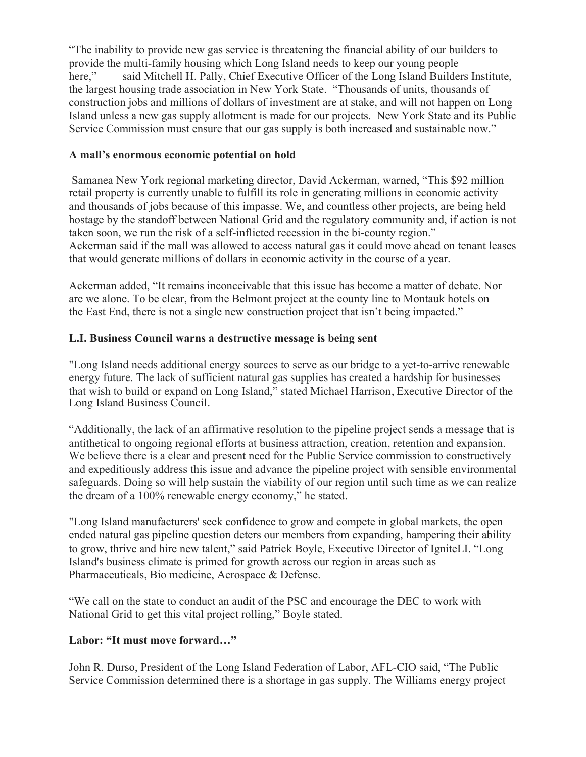"The inability to provide new gas service is threatening the financial ability of our builders to provide the multi-family housing which Long Island needs to keep our young people here," said Mitchell H. Pally, Chief Executive Officer of the Long Island Builders Institute, the largest housing trade association in New York State. "Thousands of units, thousands of construction jobs and millions of dollars of investment are at stake, and will not happen on Long Island unless a new gas supply allotment is made for our projects. New York State and its Public Service Commission must ensure that our gas supply is both increased and sustainable now."

### **A mall's enormous economic potential on hold**

Samanea New York regional marketing director, David Ackerman, warned, "This \$92 million retail property is currently unable to fulfill its role in generating millions in economic activity and thousands of jobs because of this impasse. We, and countless other projects, are being held hostage by the standoff between National Grid and the regulatory community and, if action is not taken soon, we run the risk of a self-inflicted recession in the bi-county region." Ackerman said if the mall was allowed to access natural gas it could move ahead on tenant leases that would generate millions of dollars in economic activity in the course of a year.

Ackerman added, "It remains inconceivable that this issue has become a matter of debate. Nor are we alone. To be clear, from the Belmont project at the county line to Montauk hotels on the East End, there is not a single new construction project that isn't being impacted."

## **L.I. Business Council warns a destructive message is being sent**

"Long Island needs additional energy sources to serve as our bridge to a yet-to-arrive renewable energy future. The lack of sufficient natural gas supplies has created a hardship for businesses that wish to build or expand on Long Island," stated Michael Harrison, Executive Director of the Long Island Business Council.

"Additionally, the lack of an affirmative resolution to the pipeline project sends a message that is antithetical to ongoing regional efforts at business attraction, creation, retention and expansion. We believe there is a clear and present need for the Public Service commission to constructively and expeditiously address this issue and advance the pipeline project with sensible environmental safeguards. Doing so will help sustain the viability of our region until such time as we can realize the dream of a 100% renewable energy economy," he stated.

"Long Island manufacturers' seek confidence to grow and compete in global markets, the open ended natural gas pipeline question deters our members from expanding, hampering their ability to grow, thrive and hire new talent," said Patrick Boyle, Executive Director of IgniteLI. "Long Island's business climate is primed for growth across our region in areas such as Pharmaceuticals, Bio medicine, Aerospace & Defense.

"We call on the state to conduct an audit of the PSC and encourage the DEC to work with National Grid to get this vital project rolling," Boyle stated.

# **Labor: "It must move forward…"**

John R. Durso, President of the Long Island Federation of Labor, AFL-CIO said, "The Public Service Commission determined there is a shortage in gas supply. The Williams energy project